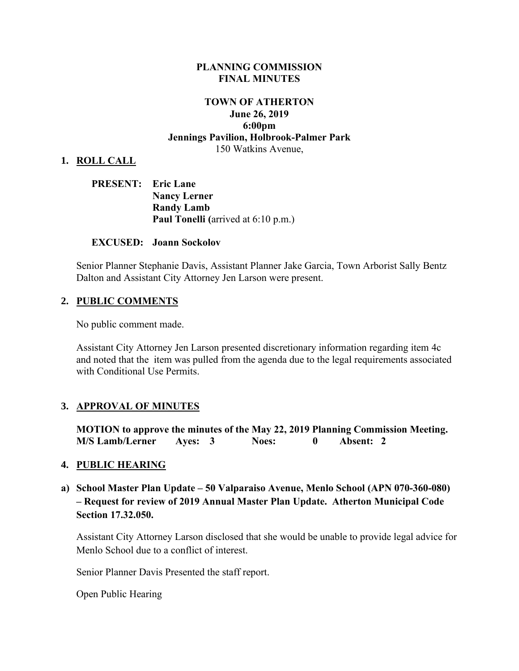#### **PLANNING COMMISSION FINAL MINUTES**

### **TOWN OF ATHERTON June 26, 2019 6:00pm Jennings Pavilion, Holbrook-Palmer Park** 150 Watkins Avenue,

#### **1. ROLL CALL**

| <b>PRESENT:</b> Eric Lane |                                            |
|---------------------------|--------------------------------------------|
|                           | <b>Nancy Lerner</b>                        |
|                           | <b>Randy Lamb</b>                          |
|                           | <b>Paul Tonelli</b> (arrived at 6:10 p.m.) |

#### **EXCUSED: Joann Sockolov**

Senior Planner Stephanie Davis, Assistant Planner Jake Garcia, Town Arborist Sally Bentz Dalton and Assistant City Attorney Jen Larson were present.

#### **2. PUBLIC COMMENTS**

No public comment made.

Assistant City Attorney Jen Larson presented discretionary information regarding item 4c and noted that the item was pulled from the agenda due to the legal requirements associated with Conditional Use Permits.

#### **3. APPROVAL OF MINUTES**

**MOTION to approve the minutes of the May 22, 2019 Planning Commission Meeting. M/S Lamb/Lerner Ayes: 3 Noes: 0 Absent: 2** 

#### **4. PUBLIC HEARING**

**a) School Master Plan Update – 50 Valparaiso Avenue, Menlo School (APN 070-360-080) – Request for review of 2019 Annual Master Plan Update. Atherton Municipal Code Section 17.32.050.** 

Assistant City Attorney Larson disclosed that she would be unable to provide legal advice for Menlo School due to a conflict of interest.

Senior Planner Davis Presented the staff report.

Open Public Hearing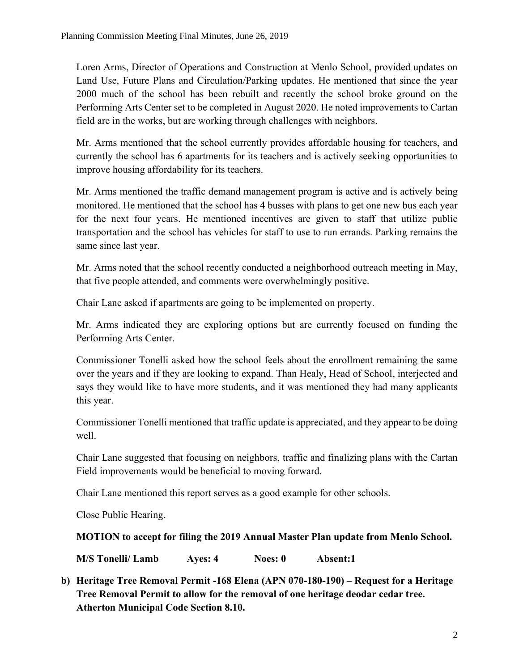Loren Arms, Director of Operations and Construction at Menlo School, provided updates on Land Use, Future Plans and Circulation/Parking updates. He mentioned that since the year 2000 much of the school has been rebuilt and recently the school broke ground on the Performing Arts Center set to be completed in August 2020. He noted improvements to Cartan field are in the works, but are working through challenges with neighbors.

Mr. Arms mentioned that the school currently provides affordable housing for teachers, and currently the school has 6 apartments for its teachers and is actively seeking opportunities to improve housing affordability for its teachers.

Mr. Arms mentioned the traffic demand management program is active and is actively being monitored. He mentioned that the school has 4 busses with plans to get one new bus each year for the next four years. He mentioned incentives are given to staff that utilize public transportation and the school has vehicles for staff to use to run errands. Parking remains the same since last year.

Mr. Arms noted that the school recently conducted a neighborhood outreach meeting in May, that five people attended, and comments were overwhelmingly positive.

Chair Lane asked if apartments are going to be implemented on property.

Mr. Arms indicated they are exploring options but are currently focused on funding the Performing Arts Center.

Commissioner Tonelli asked how the school feels about the enrollment remaining the same over the years and if they are looking to expand. Than Healy, Head of School, interjected and says they would like to have more students, and it was mentioned they had many applicants this year.

Commissioner Tonelli mentioned that traffic update is appreciated, and they appear to be doing well.

Chair Lane suggested that focusing on neighbors, traffic and finalizing plans with the Cartan Field improvements would be beneficial to moving forward.

Chair Lane mentioned this report serves as a good example for other schools.

Close Public Hearing.

### **MOTION to accept for filing the 2019 Annual Master Plan update from Menlo School.**

**M/S Tonelli/ Lamb Ayes: 4 Noes: 0 Absent:1**

**b) Heritage Tree Removal Permit -168 Elena (APN 070-180-190) – Request for a Heritage Tree Removal Permit to allow for the removal of one heritage deodar cedar tree. Atherton Municipal Code Section 8.10.**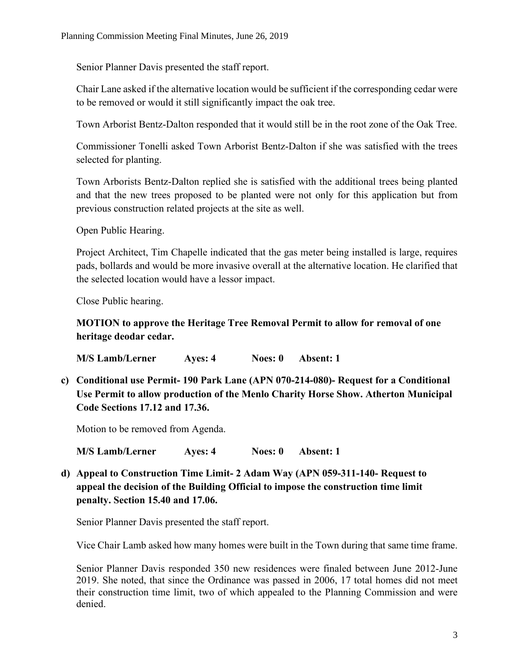Senior Planner Davis presented the staff report.

Chair Lane asked if the alternative location would be sufficient if the corresponding cedar were to be removed or would it still significantly impact the oak tree.

Town Arborist Bentz-Dalton responded that it would still be in the root zone of the Oak Tree.

Commissioner Tonelli asked Town Arborist Bentz-Dalton if she was satisfied with the trees selected for planting.

Town Arborists Bentz-Dalton replied she is satisfied with the additional trees being planted and that the new trees proposed to be planted were not only for this application but from previous construction related projects at the site as well.

Open Public Hearing.

Project Architect, Tim Chapelle indicated that the gas meter being installed is large, requires pads, bollards and would be more invasive overall at the alternative location. He clarified that the selected location would have a lessor impact.

Close Public hearing.

### **MOTION to approve the Heritage Tree Removal Permit to allow for removal of one heritage deodar cedar.**

**M/S Lamb/Lerner Ayes: 4 Noes: 0 Absent: 1**

**c) Conditional use Permit- 190 Park Lane (APN 070-214-080)- Request for a Conditional Use Permit to allow production of the Menlo Charity Horse Show. Atherton Municipal Code Sections 17.12 and 17.36.**

Motion to be removed from Agenda.

**M/S Lamb/Lerner Ayes: 4 Noes: 0 Absent: 1**

**d) Appeal to Construction Time Limit- 2 Adam Way (APN 059-311-140- Request to appeal the decision of the Building Official to impose the construction time limit penalty. Section 15.40 and 17.06.**

Senior Planner Davis presented the staff report.

Vice Chair Lamb asked how many homes were built in the Town during that same time frame.

Senior Planner Davis responded 350 new residences were finaled between June 2012-June 2019. She noted, that since the Ordinance was passed in 2006, 17 total homes did not meet their construction time limit, two of which appealed to the Planning Commission and were denied.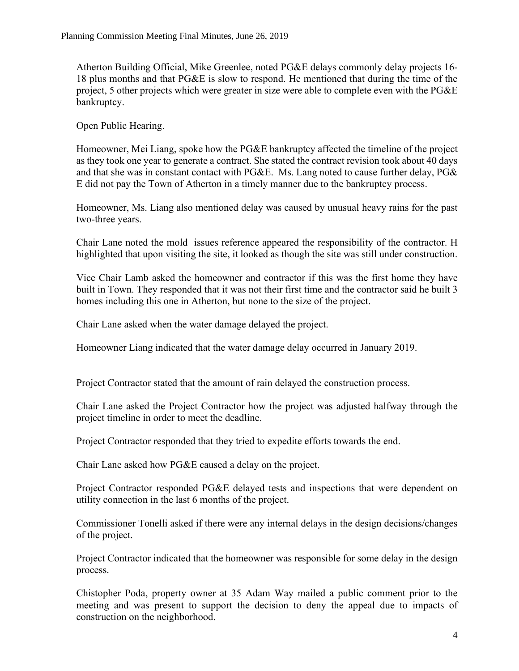Atherton Building Official, Mike Greenlee, noted PG&E delays commonly delay projects 16- 18 plus months and that PG&E is slow to respond. He mentioned that during the time of the project, 5 other projects which were greater in size were able to complete even with the PG&E bankruptcy.

Open Public Hearing.

Homeowner, Mei Liang, spoke how the PG&E bankruptcy affected the timeline of the project as they took one year to generate a contract. She stated the contract revision took about 40 days and that she was in constant contact with PG&E. Ms. Lang noted to cause further delay, PG& E did not pay the Town of Atherton in a timely manner due to the bankruptcy process.

Homeowner, Ms. Liang also mentioned delay was caused by unusual heavy rains for the past two-three years.

Chair Lane noted the mold issues reference appeared the responsibility of the contractor. H highlighted that upon visiting the site, it looked as though the site was still under construction.

Vice Chair Lamb asked the homeowner and contractor if this was the first home they have built in Town. They responded that it was not their first time and the contractor said he built 3 homes including this one in Atherton, but none to the size of the project.

Chair Lane asked when the water damage delayed the project.

Homeowner Liang indicated that the water damage delay occurred in January 2019.

Project Contractor stated that the amount of rain delayed the construction process.

Chair Lane asked the Project Contractor how the project was adjusted halfway through the project timeline in order to meet the deadline.

Project Contractor responded that they tried to expedite efforts towards the end.

Chair Lane asked how PG&E caused a delay on the project.

Project Contractor responded PG&E delayed tests and inspections that were dependent on utility connection in the last 6 months of the project.

Commissioner Tonelli asked if there were any internal delays in the design decisions/changes of the project.

Project Contractor indicated that the homeowner was responsible for some delay in the design process.

Chistopher Poda, property owner at 35 Adam Way mailed a public comment prior to the meeting and was present to support the decision to deny the appeal due to impacts of construction on the neighborhood.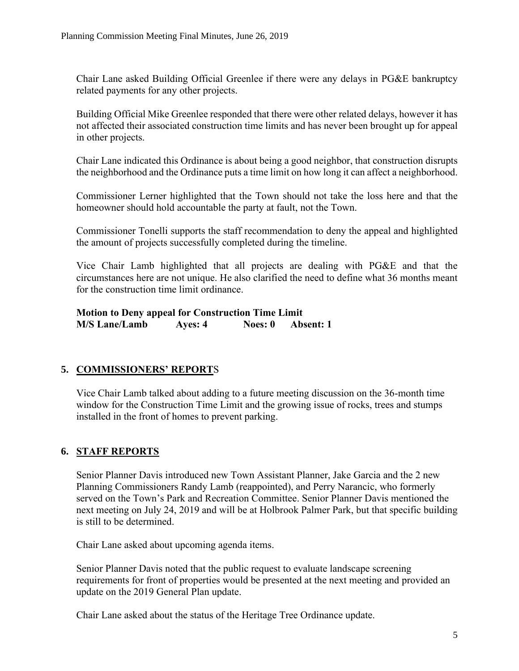Chair Lane asked Building Official Greenlee if there were any delays in PG&E bankruptcy related payments for any other projects.

Building Official Mike Greenlee responded that there were other related delays, however it has not affected their associated construction time limits and has never been brought up for appeal in other projects.

Chair Lane indicated this Ordinance is about being a good neighbor, that construction disrupts the neighborhood and the Ordinance puts a time limit on how long it can affect a neighborhood.

Commissioner Lerner highlighted that the Town should not take the loss here and that the homeowner should hold accountable the party at fault, not the Town.

Commissioner Tonelli supports the staff recommendation to deny the appeal and highlighted the amount of projects successfully completed during the timeline.

Vice Chair Lamb highlighted that all projects are dealing with PG&E and that the circumstances here are not unique. He also clarified the need to define what 36 months meant for the construction time limit ordinance.

**Motion to Deny appeal for Construction Time Limit M/S Lane/Lamb Ayes: 4 Noes: 0 Absent: 1**

# **5. COMMISSIONERS' REPORT**S

Vice Chair Lamb talked about adding to a future meeting discussion on the 36-month time window for the Construction Time Limit and the growing issue of rocks, trees and stumps installed in the front of homes to prevent parking.

# **6. STAFF REPORTS**

Senior Planner Davis introduced new Town Assistant Planner, Jake Garcia and the 2 new Planning Commissioners Randy Lamb (reappointed), and Perry Narancic, who formerly served on the Town's Park and Recreation Committee. Senior Planner Davis mentioned the next meeting on July 24, 2019 and will be at Holbrook Palmer Park, but that specific building is still to be determined.

Chair Lane asked about upcoming agenda items.

Senior Planner Davis noted that the public request to evaluate landscape screening requirements for front of properties would be presented at the next meeting and provided an update on the 2019 General Plan update.

Chair Lane asked about the status of the Heritage Tree Ordinance update.